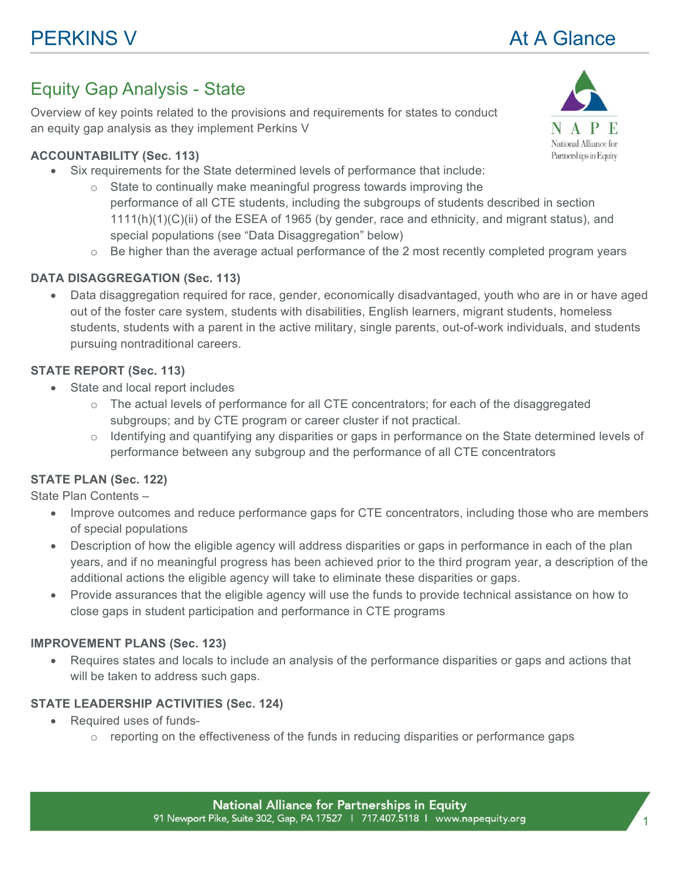# Equity Gap Analysis - State

Overview of key points related to the provisions and requirements for states to conduct an equity gap analysis as they implement Perkins V

### **ACCOUNTABILITY (Sec. 113)**

- Six requirements for the State determined levels of performance that include:
	- $\circ$  State to continually make meaningful progress towards improving the performance of all CTE students, including the subgroups of students described in section 1111(h)(1)(C)(ii) of the ESEA of 1965 (by gender, race and ethnicity, and migrant status), and special populations (see "Data Disaggregation" below)
	- $\circ$  Be higher than the average actual performance of the 2 most recently completed program years

## **DATA DISAGGREGATION (Sec. 113)**

• Data disaggregation required for race, gender, economically disadvantaged, youth who are in or have aged out of the foster care system, students with disabilities, English learners, migrant students, homeless students, students with a parent in the active military, single parents, out-of-work individuals, and students pursuing nontraditional careers.

#### **STATE REPORT (Sec. 113)**

- State and local report includes
	- $\circ$  The actual levels of performance for all CTE concentrators; for each of the disaggregated subgroups; and by CTE program or career cluster if not practical.
	- $\circ$  Identifying and quantifying any disparities or gaps in performance on the State determined levels of performance between any subgroup and the performance of all CTE concentrators

#### **STATE PLAN (Sec. 122)**

State Plan Contents –

- Improve outcomes and reduce performance gaps for CTE concentrators, including those who are members of special populations
- Description of how the eligible agency will address disparities or gaps in performance in each of the plan years, and if no meaningful progress has been achieved prior to the third program year, a description of the additional actions the eligible agency will take to eliminate these disparities or gaps.
- Provide assurances that the eligible agency will use the funds to provide technical assistance on how to close gaps in student participation and performance in CTE programs

#### **IMPROVEMENT PLANS (Sec. 123)**

• Requires states and locals to include an analysis of the performance disparities or gaps and actions that will be taken to address such gaps.

#### **STATE LEADERSHIP ACTIVITIES (Sec. 124)**

- Required uses of funds-
	- $\circ$  reporting on the effectiveness of the funds in reducing disparities or performance gaps

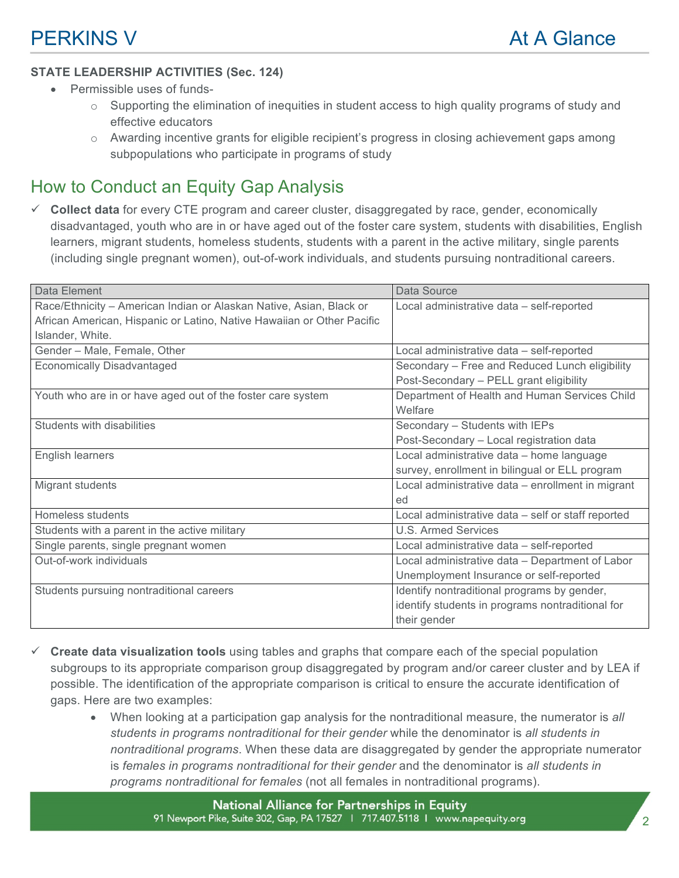#### **STATE LEADERSHIP ACTIVITIES (Sec. 124)**

- Permissible uses of funds-
	- $\circ$  Supporting the elimination of inequities in student access to high quality programs of study and effective educators
	- o Awarding incentive grants for eligible recipient's progress in closing achievement gaps among subpopulations who participate in programs of study

# How to Conduct an Equity Gap Analysis

ü **Collect data** for every CTE program and career cluster, disaggregated by race, gender, economically disadvantaged, youth who are in or have aged out of the foster care system, students with disabilities, English learners, migrant students, homeless students, students with a parent in the active military, single parents (including single pregnant women), out-of-work individuals, and students pursuing nontraditional careers.

| Data Element                                                           | Data Source                                        |
|------------------------------------------------------------------------|----------------------------------------------------|
| Race/Ethnicity - American Indian or Alaskan Native, Asian, Black or    | Local administrative data - self-reported          |
| African American, Hispanic or Latino, Native Hawaiian or Other Pacific |                                                    |
| Islander, White.                                                       |                                                    |
| Gender - Male, Female, Other                                           | Local administrative data - self-reported          |
| <b>Economically Disadvantaged</b>                                      | Secondary - Free and Reduced Lunch eligibility     |
|                                                                        | Post-Secondary - PELL grant eligibility            |
| Youth who are in or have aged out of the foster care system            | Department of Health and Human Services Child      |
|                                                                        | Welfare                                            |
| Students with disabilities                                             | Secondary - Students with IEPs                     |
|                                                                        | Post-Secondary - Local registration data           |
| English learners                                                       | Local administrative data - home language          |
|                                                                        | survey, enrollment in bilingual or ELL program     |
| Migrant students                                                       | Local administrative data - enrollment in migrant  |
|                                                                        | ed                                                 |
| Homeless students                                                      | Local administrative data - self or staff reported |
| Students with a parent in the active military                          | <b>U.S. Armed Services</b>                         |
| Single parents, single pregnant women                                  | Local administrative data - self-reported          |
| Out-of-work individuals                                                | Local administrative data - Department of Labor    |
|                                                                        | Unemployment Insurance or self-reported            |
| Students pursuing nontraditional careers                               | Identify nontraditional programs by gender,        |
|                                                                        | identify students in programs nontraditional for   |
|                                                                        | their gender                                       |

- ü **Create data visualization tools** using tables and graphs that compare each of the special population subgroups to its appropriate comparison group disaggregated by program and/or career cluster and by LEA if possible. The identification of the appropriate comparison is critical to ensure the accurate identification of gaps. Here are two examples:
	- When looking at a participation gap analysis for the nontraditional measure, the numerator is *all students in programs nontraditional for their gender* while the denominator is *all students in nontraditional programs*. When these data are disaggregated by gender the appropriate numerator is *females in programs nontraditional for their gender* and the denominator is *all students in programs nontraditional for females* (not all females in nontraditional programs).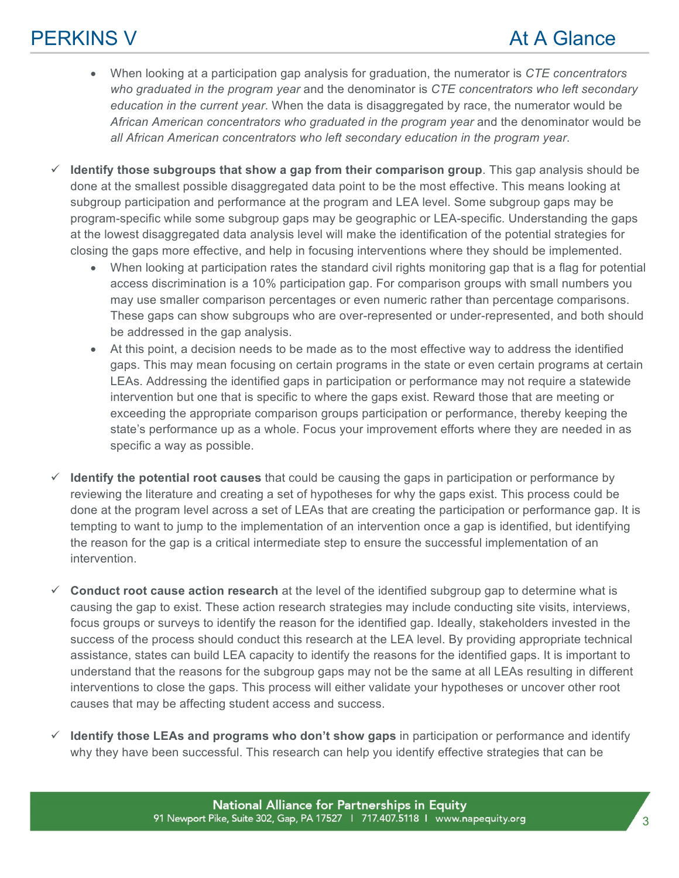- When looking at a participation gap analysis for graduation, the numerator is *CTE concentrators who graduated in the program year* and the denominator is *CTE concentrators who left secondary education in the current year*. When the data is disaggregated by race, the numerator would be *African American concentrators who graduated in the program year* and the denominator would be *all African American concentrators who left secondary education in the program year*.
- ü **Identify those subgroups that show a gap from their comparison group**. This gap analysis should be done at the smallest possible disaggregated data point to be the most effective. This means looking at subgroup participation and performance at the program and LEA level. Some subgroup gaps may be program-specific while some subgroup gaps may be geographic or LEA-specific. Understanding the gaps at the lowest disaggregated data analysis level will make the identification of the potential strategies for closing the gaps more effective, and help in focusing interventions where they should be implemented.
	- When looking at participation rates the standard civil rights monitoring gap that is a flag for potential access discrimination is a 10% participation gap. For comparison groups with small numbers you may use smaller comparison percentages or even numeric rather than percentage comparisons. These gaps can show subgroups who are over-represented or under-represented, and both should be addressed in the gap analysis.
	- At this point, a decision needs to be made as to the most effective way to address the identified gaps. This may mean focusing on certain programs in the state or even certain programs at certain LEAs. Addressing the identified gaps in participation or performance may not require a statewide intervention but one that is specific to where the gaps exist. Reward those that are meeting or exceeding the appropriate comparison groups participation or performance, thereby keeping the state's performance up as a whole. Focus your improvement efforts where they are needed in as specific a way as possible.
- $\checkmark$  **Identify the potential root causes** that could be causing the gaps in participation or performance by reviewing the literature and creating a set of hypotheses for why the gaps exist. This process could be done at the program level across a set of LEAs that are creating the participation or performance gap. It is tempting to want to jump to the implementation of an intervention once a gap is identified, but identifying the reason for the gap is a critical intermediate step to ensure the successful implementation of an intervention.
- $\checkmark$  Conduct root cause action research at the level of the identified subgroup gap to determine what is causing the gap to exist. These action research strategies may include conducting site visits, interviews, focus groups or surveys to identify the reason for the identified gap. Ideally, stakeholders invested in the success of the process should conduct this research at the LEA level. By providing appropriate technical assistance, states can build LEA capacity to identify the reasons for the identified gaps. It is important to understand that the reasons for the subgroup gaps may not be the same at all LEAs resulting in different interventions to close the gaps. This process will either validate your hypotheses or uncover other root causes that may be affecting student access and success.
- ü **Identify those LEAs and programs who don't show gaps** in participation or performance and identify why they have been successful. This research can help you identify effective strategies that can be